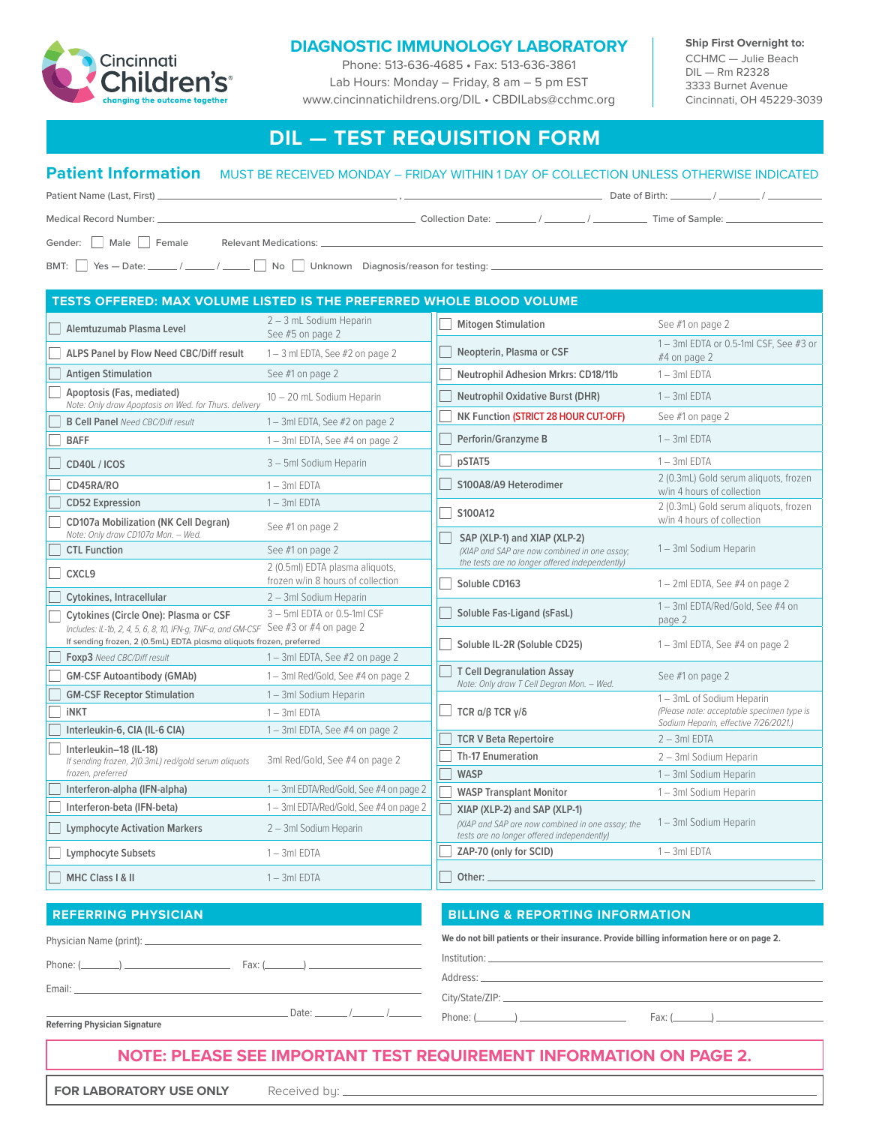

## **DIAGNOSTIC IMMUNOLOGY LABORATORY**

Phone: 513-636-4685 • Fax: 513-636-3861 Lab Hours: Monday – Friday, 8 am – 5 pm EST www.cincinnatichildrens.org/DIL • CBDILabs@cchmc.org **Ship First Overnight to:** CCHMC — Julie Beach DIL — Rm R2328 3333 Burnet Avenue Cincinnati, OH 45229-3039

# **DIL — TEST REQUISITION FORM**

## **Patient Information** MUST BE RECEIVED MONDAY – FRIDAY WITHIN 1 DAY OF COLLECTION UNLESS OTHERWISE INDICATED

| Medical Record Number: New York 1986                             |  |
|------------------------------------------------------------------|--|
| Gender: Male Female<br>Relevant Medications: 2008 2014 2022 2023 |  |
| BMT: Yes - Date: // // Dhknown Diagnosis/reason for testing:     |  |

| 2 - 3 mL Sodium Heparin<br><b>Mitogen Stimulation</b><br>See #1 on page 2<br>Alemtuzumab Plasma Level<br>See #5 on page 2<br>1-3ml EDTA or 0.5-1ml CSF, See #3 or<br>Neopterin, Plasma or CSF<br>ALPS Panel by Flow Need CBC/Diff result<br>$1 - 3$ ml EDTA, See #2 on page 2<br>#4 on page 2<br><b>Antigen Stimulation</b><br>See #1 on page 2<br>Neutrophil Adhesion Mrkrs: CD18/11b<br>$1 - 3ml$ EDTA<br>Apoptosis (Fas, mediated)<br><b>Neutrophil Oxidative Burst (DHR)</b><br>$1 - 3ml$ EDTA<br>10 - 20 mL Sodium Heparin<br>Note: Only draw Apoptosis on Wed. for Thurs. delivery<br>NK Function (STRICT 28 HOUR CUT-OFF)<br>See #1 on page 2<br><b>B Cell Panel</b> Need CBC/Diff result<br>1-3ml EDTA, See #2 on page 2<br>Perforin/Granzyme B<br>$1 - 3ml$ EDTA<br><b>BAFF</b><br>$1 - 3$ ml EDTA, See #4 on page 2<br>$1 - 3ml$ EDTA<br>pSTAT5<br>3 - 5ml Sodium Heparin<br>CD40L / ICOS<br>2 (0.3mL) Gold serum aliquots, frozen<br>S100A8/A9 Heterodimer<br>CD45RA/RO<br>$1 - 3ml$ EDTA<br>w/in 4 hours of collection<br><b>CD52 Expression</b><br>$1 - 3ml$ EDTA<br>2 (0.3mL) Gold serum aliquots, frozen<br>S100A12<br>w/in 4 hours of collection<br><b>CD107a Mobilization (NK Cell Degran)</b><br>See #1 on page 2<br>Note: Only draw CD107a Mon. - Wed.<br>SAP (XLP-1) and XIAP (XLP-2)<br>1-3ml Sodium Heparin<br><b>CTL Function</b><br>See #1 on page 2<br>(XIAP and SAP are now combined in one assay;<br>the tests are no longer offered independently)<br>2 (0.5ml) EDTA plasma aliquots,<br>CXCL <sub>9</sub><br>frozen w/in 8 hours of collection<br>Soluble CD163<br>1-2ml EDTA, See #4 on page 2<br>Cytokines, Intracellular<br>2 - 3ml Sodium Heparin<br>1-3ml EDTA/Red/Gold, See #4 on<br>$3 - 5$ ml EDTA or 0.5-1ml CSF<br>Soluble Fas-Ligand (sFasL)<br>Cytokines (Circle One): Plasma or CSF<br>page 2<br>Includes: IL-1b, 2, 4, 5, 6, 8, 10, IFN-g, TNF-a, and GM-CSF See #3 or #4 on page 2<br>If sending frozen, 2 (0.5mL) EDTA plasma aliquots frozen, preferred<br>Soluble IL-2R (Soluble CD25)<br>1-3ml EDTA, See #4 on page 2<br>Foxp3 Need CBC/Diff result<br>1-3ml EDTA, See #2 on page 2<br><b>T Cell Degranulation Assay</b><br><b>GM-CSF Autoantibody (GMAb)</b><br>1-3ml Red/Gold, See #4 on page 2<br>See #1 on page 2<br>Note: Only draw T Cell Degran Mon. - Wed.<br><b>GM-CSF Receptor Stimulation</b><br>1-3ml Sodium Heparin<br>1-3mL of Sodium Heparin<br>(Please note: acceptable specimen type is<br>TCR $\alpha/\beta$ TCR $\gamma/\delta$<br><b>iNKT</b><br>$1 - 3ml$ EDTA<br>Sodium Heparin, effective 7/26/2021.)<br>Interleukin-6, CIA (IL-6 CIA)<br>1-3ml EDTA, See #4 on page 2<br><b>TCR V Beta Repertoire</b><br>$2 - 3ml$ EDTA<br>Interleukin-18 (IL-18)<br><b>Th-17 Enumeration</b><br>2 - 3ml Sodium Heparin<br>3ml Red/Gold, See #4 on page 2<br>If sending frozen, 2(0.3mL) red/gold serum aliquots<br>frozen, preferred<br><b>WASP</b><br>1-3ml Sodium Heparin<br>Interferon-alpha (IFN-alpha)<br>1-3ml EDTA/Red/Gold, See #4 on page 2<br><b>WASP Transplant Monitor</b><br>1-3ml Sodium Heparin<br>Interferon-beta (IFN-beta)<br>1-3ml EDTA/Red/Gold, See #4 on page 2<br>XIAP (XLP-2) and SAP (XLP-1)<br>1-3ml Sodium Heparin<br>(XIAP and SAP are now combined in one assay; the<br><b>Lymphocyte Activation Markers</b><br>2 - 3ml Sodium Heparin<br>tests are no longer offered independently)<br>ZAP-70 (only for SCID)<br>$1 - 3ml$ EDTA<br><b>Lymphocyte Subsets</b><br>$1 - 3ml$ EDTA<br>Other:<br>MHC Class   & II<br>$1 - 3ml$ EDTA | TESTS OFFERED: MAX VOLUME LISTED IS THE PREFERRED WHOLE BLOOD VOLUME |  |  |  |  |  |  |
|-----------------------------------------------------------------------------------------------------------------------------------------------------------------------------------------------------------------------------------------------------------------------------------------------------------------------------------------------------------------------------------------------------------------------------------------------------------------------------------------------------------------------------------------------------------------------------------------------------------------------------------------------------------------------------------------------------------------------------------------------------------------------------------------------------------------------------------------------------------------------------------------------------------------------------------------------------------------------------------------------------------------------------------------------------------------------------------------------------------------------------------------------------------------------------------------------------------------------------------------------------------------------------------------------------------------------------------------------------------------------------------------------------------------------------------------------------------------------------------------------------------------------------------------------------------------------------------------------------------------------------------------------------------------------------------------------------------------------------------------------------------------------------------------------------------------------------------------------------------------------------------------------------------------------------------------------------------------------------------------------------------------------------------------------------------------------------------------------------------------------------------------------------------------------------------------------------------------------------------------------------------------------------------------------------------------------------------------------------------------------------------------------------------------------------------------------------------------------------------------------------------------------------------------------------------------------------------------------------------------------------------------------------------------------------------------------------------------------------------------------------------------------------------------------------------------------------------------------------------------------------------------------------------------------------------------------------------------------------------------------------------------------------------------------------------------------------------------------------------------------------------------------------------------------------------------------------------------------------------------------------------------------------------------------------------------------------------------------------------------------------------------------------------------------------------------------------------------------------------------------------------------------|----------------------------------------------------------------------|--|--|--|--|--|--|
|                                                                                                                                                                                                                                                                                                                                                                                                                                                                                                                                                                                                                                                                                                                                                                                                                                                                                                                                                                                                                                                                                                                                                                                                                                                                                                                                                                                                                                                                                                                                                                                                                                                                                                                                                                                                                                                                                                                                                                                                                                                                                                                                                                                                                                                                                                                                                                                                                                                                                                                                                                                                                                                                                                                                                                                                                                                                                                                                                                                                                                                                                                                                                                                                                                                                                                                                                                                                                                                                                                                       |                                                                      |  |  |  |  |  |  |
|                                                                                                                                                                                                                                                                                                                                                                                                                                                                                                                                                                                                                                                                                                                                                                                                                                                                                                                                                                                                                                                                                                                                                                                                                                                                                                                                                                                                                                                                                                                                                                                                                                                                                                                                                                                                                                                                                                                                                                                                                                                                                                                                                                                                                                                                                                                                                                                                                                                                                                                                                                                                                                                                                                                                                                                                                                                                                                                                                                                                                                                                                                                                                                                                                                                                                                                                                                                                                                                                                                                       |                                                                      |  |  |  |  |  |  |
|                                                                                                                                                                                                                                                                                                                                                                                                                                                                                                                                                                                                                                                                                                                                                                                                                                                                                                                                                                                                                                                                                                                                                                                                                                                                                                                                                                                                                                                                                                                                                                                                                                                                                                                                                                                                                                                                                                                                                                                                                                                                                                                                                                                                                                                                                                                                                                                                                                                                                                                                                                                                                                                                                                                                                                                                                                                                                                                                                                                                                                                                                                                                                                                                                                                                                                                                                                                                                                                                                                                       |                                                                      |  |  |  |  |  |  |
|                                                                                                                                                                                                                                                                                                                                                                                                                                                                                                                                                                                                                                                                                                                                                                                                                                                                                                                                                                                                                                                                                                                                                                                                                                                                                                                                                                                                                                                                                                                                                                                                                                                                                                                                                                                                                                                                                                                                                                                                                                                                                                                                                                                                                                                                                                                                                                                                                                                                                                                                                                                                                                                                                                                                                                                                                                                                                                                                                                                                                                                                                                                                                                                                                                                                                                                                                                                                                                                                                                                       |                                                                      |  |  |  |  |  |  |
|                                                                                                                                                                                                                                                                                                                                                                                                                                                                                                                                                                                                                                                                                                                                                                                                                                                                                                                                                                                                                                                                                                                                                                                                                                                                                                                                                                                                                                                                                                                                                                                                                                                                                                                                                                                                                                                                                                                                                                                                                                                                                                                                                                                                                                                                                                                                                                                                                                                                                                                                                                                                                                                                                                                                                                                                                                                                                                                                                                                                                                                                                                                                                                                                                                                                                                                                                                                                                                                                                                                       |                                                                      |  |  |  |  |  |  |
|                                                                                                                                                                                                                                                                                                                                                                                                                                                                                                                                                                                                                                                                                                                                                                                                                                                                                                                                                                                                                                                                                                                                                                                                                                                                                                                                                                                                                                                                                                                                                                                                                                                                                                                                                                                                                                                                                                                                                                                                                                                                                                                                                                                                                                                                                                                                                                                                                                                                                                                                                                                                                                                                                                                                                                                                                                                                                                                                                                                                                                                                                                                                                                                                                                                                                                                                                                                                                                                                                                                       |                                                                      |  |  |  |  |  |  |
|                                                                                                                                                                                                                                                                                                                                                                                                                                                                                                                                                                                                                                                                                                                                                                                                                                                                                                                                                                                                                                                                                                                                                                                                                                                                                                                                                                                                                                                                                                                                                                                                                                                                                                                                                                                                                                                                                                                                                                                                                                                                                                                                                                                                                                                                                                                                                                                                                                                                                                                                                                                                                                                                                                                                                                                                                                                                                                                                                                                                                                                                                                                                                                                                                                                                                                                                                                                                                                                                                                                       |                                                                      |  |  |  |  |  |  |
|                                                                                                                                                                                                                                                                                                                                                                                                                                                                                                                                                                                                                                                                                                                                                                                                                                                                                                                                                                                                                                                                                                                                                                                                                                                                                                                                                                                                                                                                                                                                                                                                                                                                                                                                                                                                                                                                                                                                                                                                                                                                                                                                                                                                                                                                                                                                                                                                                                                                                                                                                                                                                                                                                                                                                                                                                                                                                                                                                                                                                                                                                                                                                                                                                                                                                                                                                                                                                                                                                                                       |                                                                      |  |  |  |  |  |  |
|                                                                                                                                                                                                                                                                                                                                                                                                                                                                                                                                                                                                                                                                                                                                                                                                                                                                                                                                                                                                                                                                                                                                                                                                                                                                                                                                                                                                                                                                                                                                                                                                                                                                                                                                                                                                                                                                                                                                                                                                                                                                                                                                                                                                                                                                                                                                                                                                                                                                                                                                                                                                                                                                                                                                                                                                                                                                                                                                                                                                                                                                                                                                                                                                                                                                                                                                                                                                                                                                                                                       |                                                                      |  |  |  |  |  |  |
|                                                                                                                                                                                                                                                                                                                                                                                                                                                                                                                                                                                                                                                                                                                                                                                                                                                                                                                                                                                                                                                                                                                                                                                                                                                                                                                                                                                                                                                                                                                                                                                                                                                                                                                                                                                                                                                                                                                                                                                                                                                                                                                                                                                                                                                                                                                                                                                                                                                                                                                                                                                                                                                                                                                                                                                                                                                                                                                                                                                                                                                                                                                                                                                                                                                                                                                                                                                                                                                                                                                       |                                                                      |  |  |  |  |  |  |
|                                                                                                                                                                                                                                                                                                                                                                                                                                                                                                                                                                                                                                                                                                                                                                                                                                                                                                                                                                                                                                                                                                                                                                                                                                                                                                                                                                                                                                                                                                                                                                                                                                                                                                                                                                                                                                                                                                                                                                                                                                                                                                                                                                                                                                                                                                                                                                                                                                                                                                                                                                                                                                                                                                                                                                                                                                                                                                                                                                                                                                                                                                                                                                                                                                                                                                                                                                                                                                                                                                                       |                                                                      |  |  |  |  |  |  |
|                                                                                                                                                                                                                                                                                                                                                                                                                                                                                                                                                                                                                                                                                                                                                                                                                                                                                                                                                                                                                                                                                                                                                                                                                                                                                                                                                                                                                                                                                                                                                                                                                                                                                                                                                                                                                                                                                                                                                                                                                                                                                                                                                                                                                                                                                                                                                                                                                                                                                                                                                                                                                                                                                                                                                                                                                                                                                                                                                                                                                                                                                                                                                                                                                                                                                                                                                                                                                                                                                                                       |                                                                      |  |  |  |  |  |  |
|                                                                                                                                                                                                                                                                                                                                                                                                                                                                                                                                                                                                                                                                                                                                                                                                                                                                                                                                                                                                                                                                                                                                                                                                                                                                                                                                                                                                                                                                                                                                                                                                                                                                                                                                                                                                                                                                                                                                                                                                                                                                                                                                                                                                                                                                                                                                                                                                                                                                                                                                                                                                                                                                                                                                                                                                                                                                                                                                                                                                                                                                                                                                                                                                                                                                                                                                                                                                                                                                                                                       |                                                                      |  |  |  |  |  |  |
|                                                                                                                                                                                                                                                                                                                                                                                                                                                                                                                                                                                                                                                                                                                                                                                                                                                                                                                                                                                                                                                                                                                                                                                                                                                                                                                                                                                                                                                                                                                                                                                                                                                                                                                                                                                                                                                                                                                                                                                                                                                                                                                                                                                                                                                                                                                                                                                                                                                                                                                                                                                                                                                                                                                                                                                                                                                                                                                                                                                                                                                                                                                                                                                                                                                                                                                                                                                                                                                                                                                       |                                                                      |  |  |  |  |  |  |
|                                                                                                                                                                                                                                                                                                                                                                                                                                                                                                                                                                                                                                                                                                                                                                                                                                                                                                                                                                                                                                                                                                                                                                                                                                                                                                                                                                                                                                                                                                                                                                                                                                                                                                                                                                                                                                                                                                                                                                                                                                                                                                                                                                                                                                                                                                                                                                                                                                                                                                                                                                                                                                                                                                                                                                                                                                                                                                                                                                                                                                                                                                                                                                                                                                                                                                                                                                                                                                                                                                                       |                                                                      |  |  |  |  |  |  |
|                                                                                                                                                                                                                                                                                                                                                                                                                                                                                                                                                                                                                                                                                                                                                                                                                                                                                                                                                                                                                                                                                                                                                                                                                                                                                                                                                                                                                                                                                                                                                                                                                                                                                                                                                                                                                                                                                                                                                                                                                                                                                                                                                                                                                                                                                                                                                                                                                                                                                                                                                                                                                                                                                                                                                                                                                                                                                                                                                                                                                                                                                                                                                                                                                                                                                                                                                                                                                                                                                                                       |                                                                      |  |  |  |  |  |  |
|                                                                                                                                                                                                                                                                                                                                                                                                                                                                                                                                                                                                                                                                                                                                                                                                                                                                                                                                                                                                                                                                                                                                                                                                                                                                                                                                                                                                                                                                                                                                                                                                                                                                                                                                                                                                                                                                                                                                                                                                                                                                                                                                                                                                                                                                                                                                                                                                                                                                                                                                                                                                                                                                                                                                                                                                                                                                                                                                                                                                                                                                                                                                                                                                                                                                                                                                                                                                                                                                                                                       |                                                                      |  |  |  |  |  |  |
|                                                                                                                                                                                                                                                                                                                                                                                                                                                                                                                                                                                                                                                                                                                                                                                                                                                                                                                                                                                                                                                                                                                                                                                                                                                                                                                                                                                                                                                                                                                                                                                                                                                                                                                                                                                                                                                                                                                                                                                                                                                                                                                                                                                                                                                                                                                                                                                                                                                                                                                                                                                                                                                                                                                                                                                                                                                                                                                                                                                                                                                                                                                                                                                                                                                                                                                                                                                                                                                                                                                       |                                                                      |  |  |  |  |  |  |
|                                                                                                                                                                                                                                                                                                                                                                                                                                                                                                                                                                                                                                                                                                                                                                                                                                                                                                                                                                                                                                                                                                                                                                                                                                                                                                                                                                                                                                                                                                                                                                                                                                                                                                                                                                                                                                                                                                                                                                                                                                                                                                                                                                                                                                                                                                                                                                                                                                                                                                                                                                                                                                                                                                                                                                                                                                                                                                                                                                                                                                                                                                                                                                                                                                                                                                                                                                                                                                                                                                                       |                                                                      |  |  |  |  |  |  |
|                                                                                                                                                                                                                                                                                                                                                                                                                                                                                                                                                                                                                                                                                                                                                                                                                                                                                                                                                                                                                                                                                                                                                                                                                                                                                                                                                                                                                                                                                                                                                                                                                                                                                                                                                                                                                                                                                                                                                                                                                                                                                                                                                                                                                                                                                                                                                                                                                                                                                                                                                                                                                                                                                                                                                                                                                                                                                                                                                                                                                                                                                                                                                                                                                                                                                                                                                                                                                                                                                                                       |                                                                      |  |  |  |  |  |  |
|                                                                                                                                                                                                                                                                                                                                                                                                                                                                                                                                                                                                                                                                                                                                                                                                                                                                                                                                                                                                                                                                                                                                                                                                                                                                                                                                                                                                                                                                                                                                                                                                                                                                                                                                                                                                                                                                                                                                                                                                                                                                                                                                                                                                                                                                                                                                                                                                                                                                                                                                                                                                                                                                                                                                                                                                                                                                                                                                                                                                                                                                                                                                                                                                                                                                                                                                                                                                                                                                                                                       |                                                                      |  |  |  |  |  |  |
|                                                                                                                                                                                                                                                                                                                                                                                                                                                                                                                                                                                                                                                                                                                                                                                                                                                                                                                                                                                                                                                                                                                                                                                                                                                                                                                                                                                                                                                                                                                                                                                                                                                                                                                                                                                                                                                                                                                                                                                                                                                                                                                                                                                                                                                                                                                                                                                                                                                                                                                                                                                                                                                                                                                                                                                                                                                                                                                                                                                                                                                                                                                                                                                                                                                                                                                                                                                                                                                                                                                       |                                                                      |  |  |  |  |  |  |
|                                                                                                                                                                                                                                                                                                                                                                                                                                                                                                                                                                                                                                                                                                                                                                                                                                                                                                                                                                                                                                                                                                                                                                                                                                                                                                                                                                                                                                                                                                                                                                                                                                                                                                                                                                                                                                                                                                                                                                                                                                                                                                                                                                                                                                                                                                                                                                                                                                                                                                                                                                                                                                                                                                                                                                                                                                                                                                                                                                                                                                                                                                                                                                                                                                                                                                                                                                                                                                                                                                                       |                                                                      |  |  |  |  |  |  |
|                                                                                                                                                                                                                                                                                                                                                                                                                                                                                                                                                                                                                                                                                                                                                                                                                                                                                                                                                                                                                                                                                                                                                                                                                                                                                                                                                                                                                                                                                                                                                                                                                                                                                                                                                                                                                                                                                                                                                                                                                                                                                                                                                                                                                                                                                                                                                                                                                                                                                                                                                                                                                                                                                                                                                                                                                                                                                                                                                                                                                                                                                                                                                                                                                                                                                                                                                                                                                                                                                                                       |                                                                      |  |  |  |  |  |  |
|                                                                                                                                                                                                                                                                                                                                                                                                                                                                                                                                                                                                                                                                                                                                                                                                                                                                                                                                                                                                                                                                                                                                                                                                                                                                                                                                                                                                                                                                                                                                                                                                                                                                                                                                                                                                                                                                                                                                                                                                                                                                                                                                                                                                                                                                                                                                                                                                                                                                                                                                                                                                                                                                                                                                                                                                                                                                                                                                                                                                                                                                                                                                                                                                                                                                                                                                                                                                                                                                                                                       |                                                                      |  |  |  |  |  |  |
|                                                                                                                                                                                                                                                                                                                                                                                                                                                                                                                                                                                                                                                                                                                                                                                                                                                                                                                                                                                                                                                                                                                                                                                                                                                                                                                                                                                                                                                                                                                                                                                                                                                                                                                                                                                                                                                                                                                                                                                                                                                                                                                                                                                                                                                                                                                                                                                                                                                                                                                                                                                                                                                                                                                                                                                                                                                                                                                                                                                                                                                                                                                                                                                                                                                                                                                                                                                                                                                                                                                       |                                                                      |  |  |  |  |  |  |
|                                                                                                                                                                                                                                                                                                                                                                                                                                                                                                                                                                                                                                                                                                                                                                                                                                                                                                                                                                                                                                                                                                                                                                                                                                                                                                                                                                                                                                                                                                                                                                                                                                                                                                                                                                                                                                                                                                                                                                                                                                                                                                                                                                                                                                                                                                                                                                                                                                                                                                                                                                                                                                                                                                                                                                                                                                                                                                                                                                                                                                                                                                                                                                                                                                                                                                                                                                                                                                                                                                                       |                                                                      |  |  |  |  |  |  |

| <b>REFERRING PHYSICIAN</b>           | <b>BILLING &amp; REPORTING INFORMATION.</b>                                                |
|--------------------------------------|--------------------------------------------------------------------------------------------|
|                                      | We do not bill patients or their insurance. Provide billing information here or on page 2. |
| Phone: $(\_\_\_\_\_)$                |                                                                                            |
|                                      | Address:                                                                                   |
|                                      |                                                                                            |
|                                      |                                                                                            |
| <b>Referring Physician Signature</b> |                                                                                            |

## **NOTE: PLEASE SEE IMPORTANT TEST REQUIREMENT INFORMATION ON PAGE 2.**

**FOR LABORATORY USE ONLY** Received by: